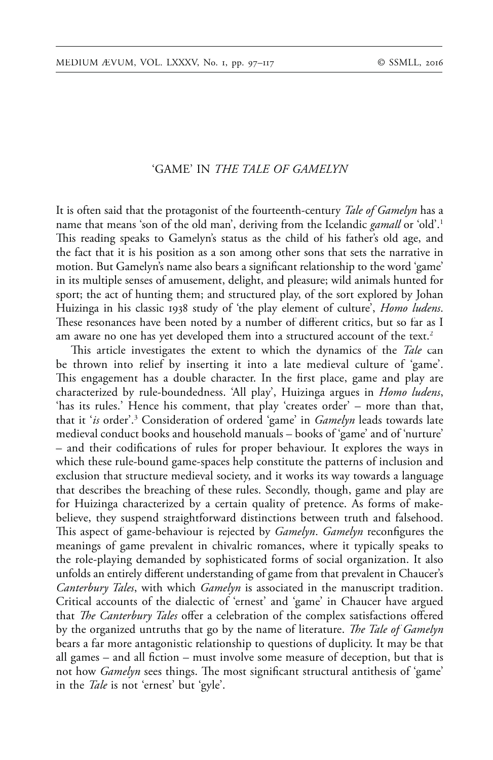# 'GAME' IN *THE TALE OF GAMELYN*

It is often said that the protagonist of the fourteenth-century *Tale of Gamelyn* has a name that means 'son of the old man', deriving from the Icelandic *gamall* or 'old'.1 This reading speaks to Gamelyn's status as the child of his father's old age, and the fact that it is his position as a son among other sons that sets the narrative in motion. But Gamelyn's name also bears a significant relationship to the word 'game' in its multiple senses of amusement, delight, and pleasure; wild animals hunted for sport; the act of hunting them; and structured play, of the sort explored by Johan Huizinga in his classic 1938 study of 'the play element of culture', *Homo ludens*. These resonances have been noted by a number of different critics, but so far as I am aware no one has yet developed them into a structured account of the text.<sup>2</sup>

This article investigates the extent to which the dynamics of the *Tale* can be thrown into relief by inserting it into a late medieval culture of 'game'. This engagement has a double character. In the first place, game and play are characterized by rule-boundedness. 'All play', Huizinga argues in *Homo ludens*, 'has its rules.' Hence his comment, that play 'creates order' – more than that, that it '*is* order'.3 Consideration of ordered 'game' in *Gamelyn* leads towards late medieval conduct books and household manuals – books of 'game' and of 'nurture' – and their codifications of rules for proper behaviour. It explores the ways in which these rule-bound game-spaces help constitute the patterns of inclusion and exclusion that structure medieval society, and it works its way towards a language that describes the breaching of these rules. Secondly, though, game and play are for Huizinga characterized by a certain quality of pretence. As forms of makebelieve, they suspend straightforward distinctions between truth and falsehood. This aspect of game-behaviour is rejected by *Gamelyn*. *Gamelyn* reconfigures the meanings of game prevalent in chivalric romances, where it typically speaks to the role-playing demanded by sophisticated forms of social organization. It also unfolds an entirely different understanding of game from that prevalent in Chaucer's *Canterbury Tales*, with which *Gamelyn* is associated in the manuscript tradition. Critical accounts of the dialectic of 'ernest' and 'game' in Chaucer have argued that *The Canterbury Tales* offer a celebration of the complex satisfactions offered by the organized untruths that go by the name of literature. *The Tale of Gamelyn* bears a far more antagonistic relationship to questions of duplicity. It may be that all games – and all fiction – must involve some measure of deception, but that is not how *Gamelyn* sees things. The most significant structural antithesis of 'game' in the *Tale* is not 'ernest' but 'gyle'.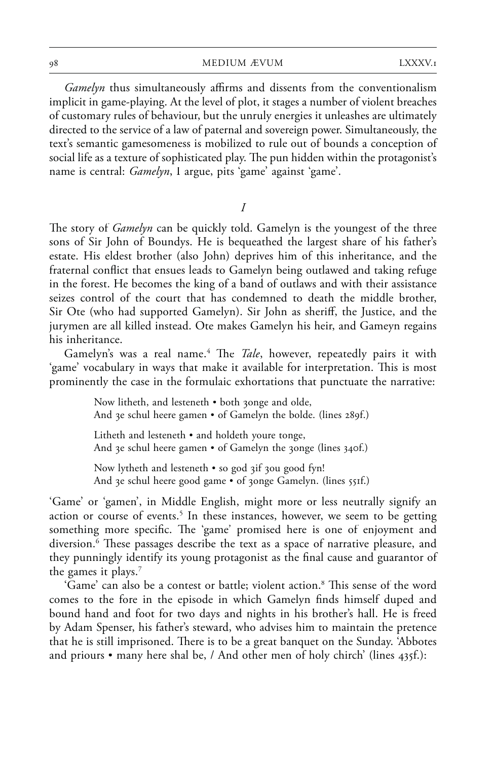*Gamelyn* thus simultaneously affirms and dissents from the conventionalism implicit in game-playing. At the level of plot, it stages a number of violent breaches of customary rules of behaviour, but the unruly energies it unleashes are ultimately directed to the service of a law of paternal and sovereign power. Simultaneously, the text's semantic gamesomeness is mobilized to rule out of bounds a conception of social life as a texture of sophisticated play. The pun hidden within the protagonist's name is central: *Gamelyn*, I argue, pits 'game' against 'game'.

*I*

The story of *Gamelyn* can be quickly told. Gamelyn is the youngest of the three sons of Sir John of Boundys. He is bequeathed the largest share of his father's estate. His eldest brother (also John) deprives him of this inheritance, and the fraternal conflict that ensues leads to Gamelyn being outlawed and taking refuge in the forest. He becomes the king of a band of outlaws and with their assistance seizes control of the court that has condemned to death the middle brother, Sir Ote (who had supported Gamelyn). Sir John as sheriff, the Justice, and the jurymen are all killed instead. Ote makes Gamelyn his heir, and Gameyn regains his inheritance.

Gamelyn's was a real name.<sup>4</sup> The *Tale*, however, repeatedly pairs it with 'game' vocabulary in ways that make it available for interpretation. This is most prominently the case in the formulaic exhortations that punctuate the narrative:

> Now litheth, and lesteneth • both zonge and olde, And 3e schul heere gamen • of Gamelyn the bolde. (lines 289f.) Litheth and lesteneth • and holdeth youre tonge, And  $\chi$ e schul heere gamen • of Gamelyn the  $\chi$ onge (lines 340f.)

Now lytheth and lesteneth  $\bullet$  so god  $\alpha$  if  $\alpha$  good fyn! And 3e schul heere good game • of 30nge Gamelyn. (lines 551f.)

'Game' or 'gamen', in Middle English, might more or less neutrally signify an action or course of events.<sup>5</sup> In these instances, however, we seem to be getting something more specific. The 'game' promised here is one of enjoyment and diversion. <sup>6</sup> These passages describe the text as a space of narrative pleasure, and they punningly identify its young protagonist as the final cause and guarantor of the games it plays.<sup>7</sup>

'Game' can also be a contest or battle; violent action.<sup>8</sup> This sense of the word comes to the fore in the episode in which Gamelyn finds himself duped and bound hand and foot for two days and nights in his brother's hall. He is freed by Adam Spenser, his father's steward, who advises him to maintain the pretence that he is still imprisoned. There is to be a great banquet on the Sunday. 'Abbotes and priours • many here shal be, / And other men of holy chirch' (lines 435f.):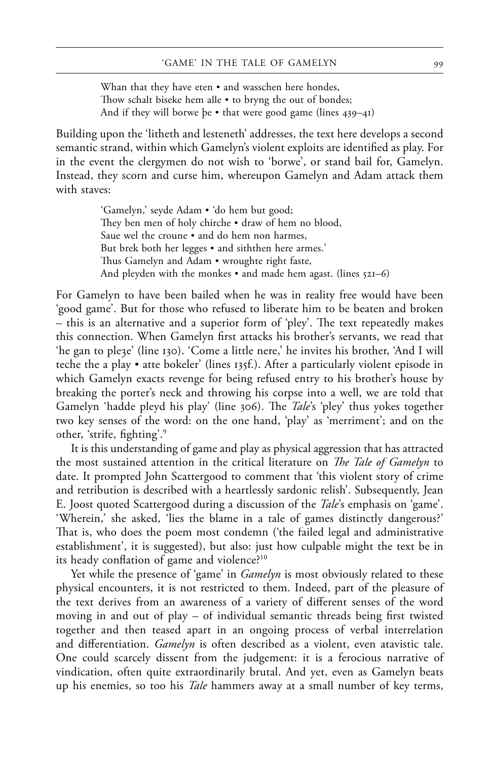Whan that they have eten • and wasschen here hondes, Thow schalt biseke hem alle  $\bullet$  to bryng the out of bondes; And if they will borwe be  $\bullet$  that were good game (lines 439–41)

Building upon the 'litheth and lesteneth' addresses, the text here develops a second semantic strand, within which Gamelyn's violent exploits are identified as play. For in the event the clergymen do not wish to 'borwe', or stand bail for, Gamelyn. Instead, they scorn and curse him, whereupon Gamelyn and Adam attack them with staves:

> 'Gamelyn,' seyde Adam • 'do hem but good; They ben men of holy chirche • draw of hem no blood, Saue wel the croune • and do hem non harmes, But brek both her legges • and siththen here armes.' Thus Gamelyn and Adam • wroughte right faste, And pleyden with the monkes  $\cdot$  and made hem agast. (lines  $52I-6$ )

For Gamelyn to have been bailed when he was in reality free would have been 'good game'. But for those who refused to liberate him to be beaten and broken – this is an alternative and a superior form of 'pley'. The text repeatedly makes this connection. When Gamelyn first attacks his brother's servants, we read that 'he gan to pleze' (line 130). 'Come a little nere,' he invites his brother, 'And I will teche the a play • atte bokeler' (lines 135f.). After a particularly violent episode in which Gamelyn exacts revenge for being refused entry to his brother's house by breaking the porter's neck and throwing his corpse into a well, we are told that Gamelyn 'hadde pleyd his play' (line 306). The *Tale*'s 'pley' thus yokes together two key senses of the word: on the one hand, 'play' as 'merriment'; and on the other, 'strife, fighting'.9

It is this understanding of game and play as physical aggression that has attracted the most sustained attention in the critical literature on *The Tale of Gamelyn* to date. It prompted John Scattergood to comment that 'this violent story of crime and retribution is described with a heartlessly sardonic relish'. Subsequently, Jean E. Joost quoted Scattergood during a discussion of the *Tale*'s emphasis on 'game'. 'Wherein,' she asked, 'lies the blame in a tale of games distinctly dangerous?' That is, who does the poem most condemn ('the failed legal and administrative establishment', it is suggested), but also: just how culpable might the text be in its heady conflation of game and violence?<sup>10</sup>

Yet while the presence of 'game' in *Gamelyn* is most obviously related to these physical encounters, it is not restricted to them. Indeed, part of the pleasure of the text derives from an awareness of a variety of different senses of the word moving in and out of play – of individual semantic threads being first twisted together and then teased apart in an ongoing process of verbal interrelation and differentiation. *Gamelyn* is often described as a violent, even atavistic tale. One could scarcely dissent from the judgement: it is a ferocious narrative of vindication, often quite extraordinarily brutal. And yet, even as Gamelyn beats up his enemies, so too his *Tale* hammers away at a small number of key terms,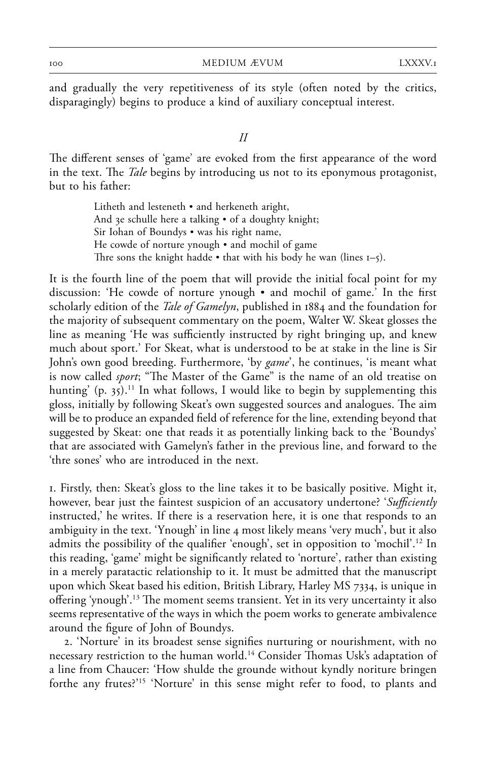and gradually the very repetitiveness of its style (often noted by the critics, disparagingly) begins to produce a kind of auxiliary conceptual interest.

## *II*

The different senses of 'game' are evoked from the first appearance of the word in the text. The *Tale* begins by introducing us not to its eponymous protagonist, but to his father:

> Litheth and lesteneth • and herkeneth aright, And 3e schulle here a talking • of a doughty knight; Sir Iohan of Boundys • was his right name, He cowde of norture ynough • and mochil of game Thre sons the knight hadde  $\bullet$  that with his body he wan (lines  $I=5$ ).

It is the fourth line of the poem that will provide the initial focal point for my discussion: 'He cowde of norture ynough • and mochil of game.' In the first scholarly edition of the *Tale of Gamelyn*, published in 1884 and the foundation for the majority of subsequent commentary on the poem, Walter W. Skeat glosses the line as meaning 'He was sufficiently instructed by right bringing up, and knew much about sport.' For Skeat, what is understood to be at stake in the line is Sir John's own good breeding. Furthermore, 'by *game*', he continues, 'is meant what is now called *sport*; "The Master of the Game" is the name of an old treatise on hunting' (p. 35).<sup>11</sup> In what follows, I would like to begin by supplementing this gloss, initially by following Skeat's own suggested sources and analogues. The aim will be to produce an expanded field of reference for the line, extending beyond that suggested by Skeat: one that reads it as potentially linking back to the 'Boundys' that are associated with Gamelyn's father in the previous line, and forward to the 'thre sones' who are introduced in the next.

1. Firstly, then: Skeat's gloss to the line takes it to be basically positive. Might it, however, bear just the faintest suspicion of an accusatory undertone? '*Sufficiently* instructed,' he writes. If there is a reservation here, it is one that responds to an ambiguity in the text. 'Ynough' in line 4 most likely means 'very much', but it also admits the possibility of the qualifier 'enough', set in opposition to 'mochil'.<sup>12</sup> In this reading, 'game' might be significantly related to 'norture', rather than existing in a merely paratactic relationship to it. It must be admitted that the manuscript upon which Skeat based his edition, British Library, Harley MS 7334, is unique in offering 'ynough'.<sup>13</sup> The moment seems transient. Yet in its very uncertainty it also seems representative of the ways in which the poem works to generate ambivalence around the figure of John of Boundys.

2. 'Norture' in its broadest sense signifies nurturing or nourishment, with no necessary restriction to the human world.<sup>14</sup> Consider Thomas Usk's adaptation of a line from Chaucer: 'How shulde the grounde without kyndly noriture bringen forthe any frutes?'15 'Norture' in this sense might refer to food, to plants and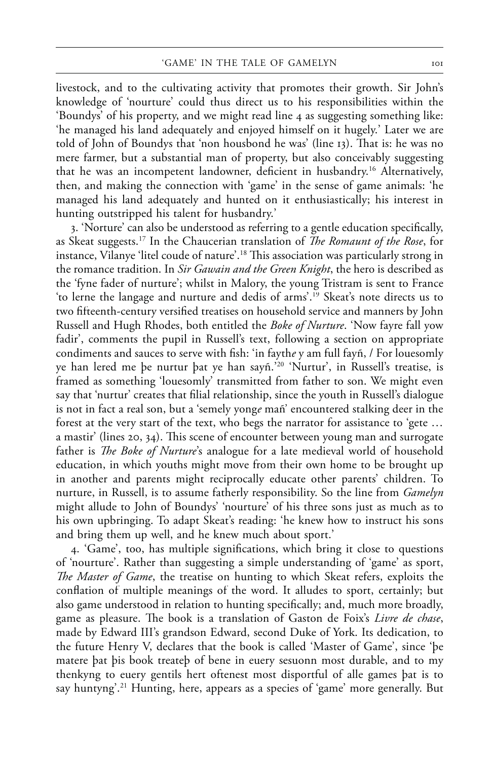livestock, and to the cultivating activity that promotes their growth. Sir John's knowledge of 'nourture' could thus direct us to his responsibilities within the 'Boundys' of his property, and we might read line 4 as suggesting something like: 'he managed his land adequately and enjoyed himself on it hugely.' Later we are told of John of Boundys that 'non housbond he was' (line 13). That is: he was no mere farmer, but a substantial man of property, but also conceivably suggesting that he was an incompetent landowner, deficient in husbandry.<sup>16</sup> Alternatively, then, and making the connection with 'game' in the sense of game animals: 'he managed his land adequately and hunted on it enthusiastically; his interest in hunting outstripped his talent for husbandry.'

3. 'Norture' can also be understood as referring to a gentle education specifically, as Skeat suggests.<sup>17</sup> In the Chaucerian translation of *The Romaunt of the Rose*, for instance, Vilanye 'litel coude of nature'.<sup>18</sup> This association was particularly strong in the romance tradition. In *Sir Gawain and the Green Knight*, the hero is described as the 'fyne fader of nurture'; whilst in Malory, the young Tristram is sent to France 'to lerne the langage and nurture and dedis of arms'.19 Skeat's note directs us to two fifteenth-century versified treatises on household service and manners by John Russell and Hugh Rhodes, both entitled the *Boke of Nurture*. 'Now fayre fall yow fadir', comments the pupil in Russell's text, following a section on appropriate condiments and sauces to serve with fish: 'in faythe y am full fayn, / For louesomly ye han lered me þe nurtur þat ye han sayñ.<sup>220</sup> 'Nurtur', in Russell's treatise, is framed as something 'louesomly' transmitted from father to son. We might even say that 'nurtur' creates that filial relationship, since the youth in Russell's dialogue is not in fact a real son, but a 'semely yong*e* mañ' encountered stalking deer in the forest at the very start of the text, who begs the narrator for assistance to 'gete … a mastir' (lines 20, 34). This scene of encounter between young man and surrogate father is *The Boke of Nurture*'s analogue for a late medieval world of household education, in which youths might move from their own home to be brought up in another and parents might reciprocally educate other parents' children. To nurture, in Russell, is to assume fatherly responsibility. So the line from *Gamelyn* might allude to John of Boundys' 'nourture' of his three sons just as much as to his own upbringing. To adapt Skeat's reading: 'he knew how to instruct his sons and bring them up well, and he knew much about sport.'

4. 'Game', too, has multiple significations, which bring it close to questions of 'nourture'. Rather than suggesting a simple understanding of 'game' as sport, *The Master of Game*, the treatise on hunting to which Skeat refers, exploits the conflation of multiple meanings of the word. It alludes to sport, certainly; but also game understood in relation to hunting specifically; and, much more broadly, game as pleasure. The book is a translation of Gaston de Foix's *Livre de chase*, made by Edward III's grandson Edward, second Duke of York. Its dedication, to the future Henry V, declares that the book is called 'Master of Game', since 'þe matere þat þis book treateþ of bene in euery sesuonn most durable, and to my thenkyng to euery gentils hert oftenest most disportful of alle games þat is to say huntyng'.<sup>21</sup> Hunting, here, appears as a species of 'game' more generally. But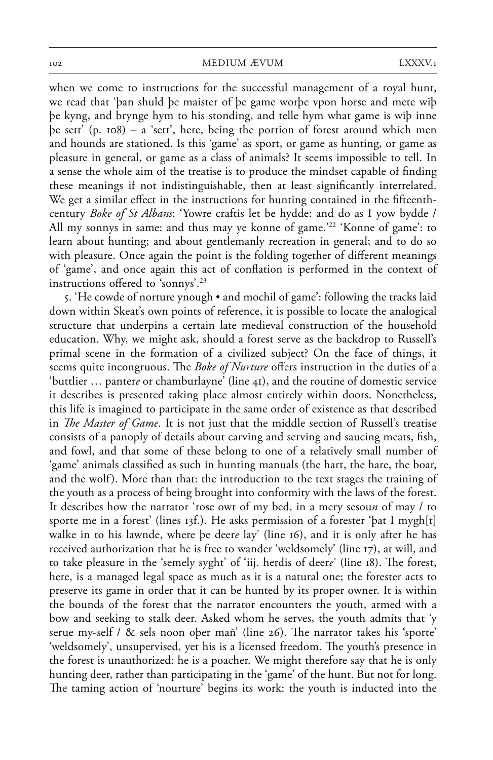when we come to instructions for the successful management of a royal hunt, we read that 'þan shuld þe maister of þe game worþe vpon horse and mete wiþ þe kyng, and brynge hym to his stonding, and telle hym what game is wiþ inne þe sett' (p. 108) – a 'sett', here, being the portion of forest around which men and hounds are stationed. Is this 'game' as sport, or game as hunting, or game as pleasure in general, or game as a class of animals? It seems impossible to tell. In a sense the whole aim of the treatise is to produce the mindset capable of finding these meanings if not indistinguishable, then at least significantly interrelated. We get a similar effect in the instructions for hunting contained in the fifteenthcentury *Boke of St Albans*: 'Yowre craftis let be hydde: and do as I yow bydde / All my sonnys in same: and thus may ye konne of game.'22 'Konne of game': to learn about hunting; and about gentlemanly recreation in general; and to do so with pleasure. Once again the point is the folding together of different meanings of 'game', and once again this act of conflation is performed in the context of instructions offered to 'sonnys'.<sup>23</sup>

5. 'He cowde of norture ynough • and mochil of game': following the tracks laid down within Skeat's own points of reference, it is possible to locate the analogical structure that underpins a certain late medieval construction of the household education. Why, we might ask, should a forest serve as the backdrop to Russell's primal scene in the formation of a civilized subject? On the face of things, it seems quite incongruous. The *Boke of Nurture* offers instruction in the duties of a 'buttlier … panter*e* or chamburlayne' (line 41), and the routine of domestic service it describes is presented taking place almost entirely within doors. Nonetheless, this life is imagined to participate in the same order of existence as that described in *The Master of Game*. It is not just that the middle section of Russell's treatise consists of a panoply of details about carving and serving and saucing meats, fish, and fowl, and that some of these belong to one of a relatively small number of 'game' animals classified as such in hunting manuals (the hart, the hare, the boar, and the wolf). More than that: the introduction to the text stages the training of the youth as a process of being brought into conformity with the laws of the forest. It describes how the narrator 'rose owt of my bed, in a mery sesou*n* of may / to sporte me in a forest' (lines 13f.). He asks permission of a forester 'þat I mygh[t] walke in to his lawnde, where þe deer*e* lay' (line 16), and it is only after he has received authorization that he is free to wander 'weldsomely' (line 17), at will, and to take pleasure in the 'semely syght' of 'iij. herdis of deer*e*' (line 18). The forest, here, is a managed legal space as much as it is a natural one; the forester acts to preserve its game in order that it can be hunted by its proper owner. It is within the bounds of the forest that the narrator encounters the youth, armed with a bow and seeking to stalk deer. Asked whom he serves, the youth admits that 'y serue my-self /  $\&$  sels noon ober mañ' (line 26). The narrator takes his 'sporte' 'weldsomely', unsupervised, yet his is a licensed freedom. The youth's presence in the forest is unauthorized: he is a poacher. We might therefore say that he is only hunting deer, rather than participating in the 'game' of the hunt. But not for long. The taming action of 'nourture' begins its work: the youth is inducted into the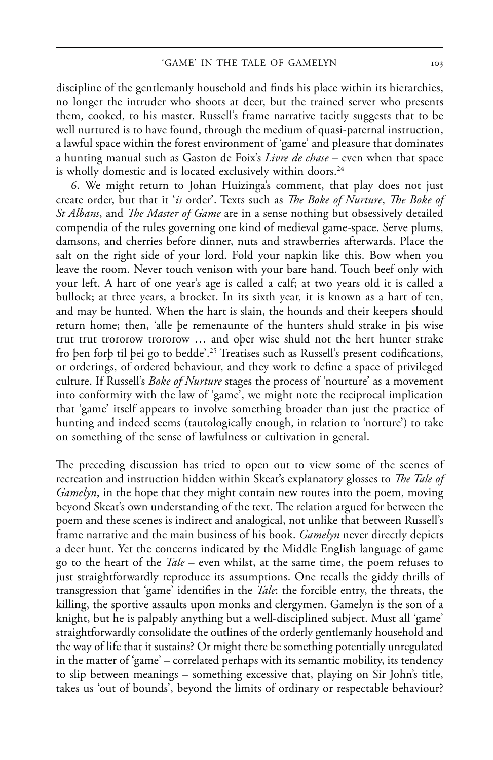discipline of the gentlemanly household and finds his place within its hierarchies, no longer the intruder who shoots at deer, but the trained server who presents them, cooked, to his master. Russell's frame narrative tacitly suggests that to be well nurtured is to have found, through the medium of quasi-paternal instruction, a lawful space within the forest environment of 'game' and pleasure that dominates a hunting manual such as Gaston de Foix's *Livre de chase* – even when that space is wholly domestic and is located exclusively within doors.<sup>24</sup>

6. We might return to Johan Huizinga's comment, that play does not just create order, but that it '*is* order'. Texts such as *The Boke of Nurture*. *The Boke of St Albans*, and *The Master of Game* are in a sense nothing but obsessively detailed compendia of the rules governing one kind of medieval game-space. Serve plums, damsons, and cherries before dinner, nuts and strawberries afterwards. Place the salt on the right side of your lord. Fold your napkin like this. Bow when you leave the room. Never touch venison with your bare hand. Touch beef only with your left. A hart of one year's age is called a calf; at two years old it is called a bullock; at three years, a brocket. In its sixth year, it is known as a hart of ten, and may be hunted. When the hart is slain, the hounds and their keepers should return home; then, 'alle þe remenaunte of the hunters shuld strake in þis wise trut trut trororow trororow … and oþer wise shuld not the hert hunter strake fro þen forþ til þei go to bedde'.25 Treatises such as Russell's present codifications, or orderings, of ordered behaviour, and they work to define a space of privileged culture. If Russell's *Boke of Nurture* stages the process of 'nourture' as a movement into conformity with the law of 'game', we might note the reciprocal implication that 'game' itself appears to involve something broader than just the practice of hunting and indeed seems (tautologically enough, in relation to 'norture') to take on something of the sense of lawfulness or cultivation in general.

The preceding discussion has tried to open out to view some of the scenes of recreation and instruction hidden within Skeat's explanatory glosses to *The Tale of Gamelyn*, in the hope that they might contain new routes into the poem, moving beyond Skeat's own understanding of the text. The relation argued for between the poem and these scenes is indirect and analogical, not unlike that between Russell's frame narrative and the main business of his book. *Gamelyn* never directly depicts a deer hunt. Yet the concerns indicated by the Middle English language of game go to the heart of the *Tale* – even whilst, at the same time, the poem refuses to just straightforwardly reproduce its assumptions. One recalls the giddy thrills of transgression that 'game' identifies in the *Tale*: the forcible entry, the threats, the killing, the sportive assaults upon monks and clergymen. Gamelyn is the son of a knight, but he is palpably anything but a well-disciplined subject. Must all 'game' straightforwardly consolidate the outlines of the orderly gentlemanly household and the way of life that it sustains? Or might there be something potentially unregulated in the matter of 'game' – correlated perhaps with its semantic mobility, its tendency to slip between meanings – something excessive that, playing on Sir John's title, takes us 'out of bounds', beyond the limits of ordinary or respectable behaviour?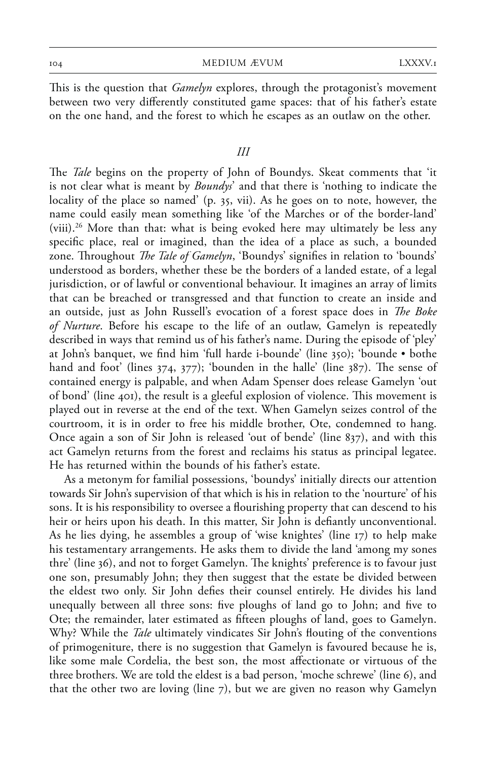This is the question that *Gamelyn* explores, through the protagonist's movement between two very differently constituted game spaces: that of his father's estate on the one hand, and the forest to which he escapes as an outlaw on the other.

## *III*

The *Tale* begins on the property of John of Boundys. Skeat comments that 'it is not clear what is meant by *Boundys*' and that there is 'nothing to indicate the locality of the place so named' (p. 35, vii). As he goes on to note, however, the name could easily mean something like 'of the Marches or of the border-land' (viii). 26 More than that: what is being evoked here may ultimately be less any specific place, real or imagined, than the idea of a place as such, a bounded zone. Throughout *The Tale of Gamelyn*, 'Boundys' signifies in relation to 'bounds' understood as borders, whether these be the borders of a landed estate, of a legal jurisdiction, or of lawful or conventional behaviour. It imagines an array of limits that can be breached or transgressed and that function to create an inside and an outside, just as John Russell's evocation of a forest space does in *The Boke of Nurture*. Before his escape to the life of an outlaw, Gamelyn is repeatedly described in ways that remind us of his father's name. During the episode of 'pley' at John's banquet, we find him 'full harde i-bounde' (line 350); 'bounde • bothe hand and foot' (lines  $374$ ,  $377$ ); 'bounden in the halle' (line  $387$ ). The sense of contained energy is palpable, and when Adam Spenser does release Gamelyn 'out of bond' (line 401), the result is a gleeful explosion of violence. This movement is played out in reverse at the end of the text. When Gamelyn seizes control of the courtroom, it is in order to free his middle brother, Ote, condemned to hang. Once again a son of Sir John is released 'out of bende' (line 837), and with this act Gamelyn returns from the forest and reclaims his status as principal legatee. He has returned within the bounds of his father's estate.

As a metonym for familial possessions, 'boundys' initially directs our attention towards Sir John's supervision of that which is his in relation to the 'nourture' of his sons. It is his responsibility to oversee a flourishing property that can descend to his heir or heirs upon his death. In this matter, Sir John is defiantly unconventional. As he lies dying, he assembles a group of 'wise knightes' (line 17) to help make his testamentary arrangements. He asks them to divide the land 'among my sones thre' (line 36), and not to forget Gamelyn. The knights' preference is to favour just one son, presumably John; they then suggest that the estate be divided between the eldest two only. Sir John defies their counsel entirely. He divides his land unequally between all three sons: five ploughs of land go to John; and five to Ote; the remainder, later estimated as fifteen ploughs of land, goes to Gamelyn. Why? While the *Tale* ultimately vindicates Sir John's flouting of the conventions of primogeniture, there is no suggestion that Gamelyn is favoured because he is, like some male Cordelia, the best son, the most affectionate or virtuous of the three brothers. We are told the eldest is a bad person, 'moche schrewe' (line 6), and that the other two are loving (line 7), but we are given no reason why Gamelyn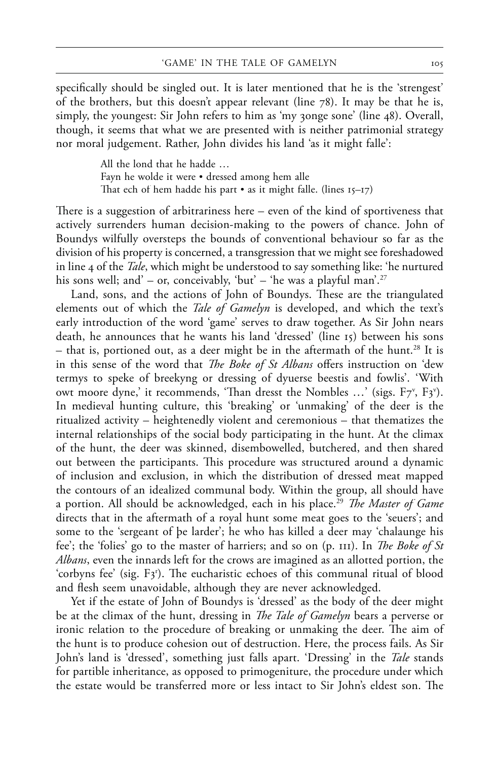specifically should be singled out. It is later mentioned that he is the 'strengest' of the brothers, but this doesn't appear relevant (line 78). It may be that he is, simply, the youngest: Sir John refers to him as 'my zonge sone' (line 48). Overall, though, it seems that what we are presented with is neither patrimonial strategy nor moral judgement. Rather, John divides his land 'as it might falle':

> All the lond that he hadde … Fayn he wolde it were • dressed among hem alle That ech of hem hadde his part  $\bullet$  as it might falle. (lines  $15-17$ )

There is a suggestion of arbitrariness here – even of the kind of sportiveness that actively surrenders human decision-making to the powers of chance. John of Boundys wilfully oversteps the bounds of conventional behaviour so far as the division of his property is concerned, a transgression that we might see foreshadowed in line 4 of the *Tale*, which might be understood to say something like: 'he nurtured his sons well; and' – or, conceivably, 'but' – 'he was a playful man'.<sup>27</sup>

Land, sons, and the actions of John of Boundys. These are the triangulated elements out of which the *Tale of Gamelyn* is developed, and which the text's early introduction of the word 'game' serves to draw together. As Sir John nears death, he announces that he wants his land 'dressed' (line 15) between his sons – that is, portioned out, as a deer might be in the aftermath of the hunt.<sup>28</sup> It is in this sense of the word that *The Boke of St Albans* offers instruction on 'dew termys to speke of breekyng or dressing of dyuerse beestis and fowlis'. 'With owt moore dyne,' it recommends, 'Than dresst the Nombles ...' (sigs. F7<sup>v</sup>, F3<sup>v</sup>). In medieval hunting culture, this 'breaking' or 'unmaking' of the deer is the ritualized activity – heightenedly violent and ceremonious – that thematizes the internal relationships of the social body participating in the hunt. At the climax of the hunt, the deer was skinned, disembowelled, butchered, and then shared out between the participants. This procedure was structured around a dynamic of inclusion and exclusion, in which the distribution of dressed meat mapped the contours of an idealized communal body. Within the group, all should have a portion. All should be acknowledged, each in his place.<sup>29</sup> *The Master of Game* directs that in the aftermath of a royal hunt some meat goes to the 'seuers'; and some to the 'sergeant of þe larder'; he who has killed a deer may 'chalaunge his fee'; the 'folies' go to the master of harriers; and so on (p. 111). In *The Boke of St Albans*, even the innards left for the crows are imagined as an allotted portion, the 'corbyns fee' (sig.  $F_3$ '). The eucharistic echoes of this communal ritual of blood and flesh seem unavoidable, although they are never acknowledged.

Yet if the estate of John of Boundys is 'dressed' as the body of the deer might be at the climax of the hunt, dressing in *The Tale of Gamelyn* bears a perverse or ironic relation to the procedure of breaking or unmaking the deer. The aim of the hunt is to produce cohesion out of destruction. Here, the process fails. As Sir John's land is 'dressed', something just falls apart. 'Dressing' in the *Tale* stands for partible inheritance, as opposed to primogeniture, the procedure under which the estate would be transferred more or less intact to Sir John's eldest son. The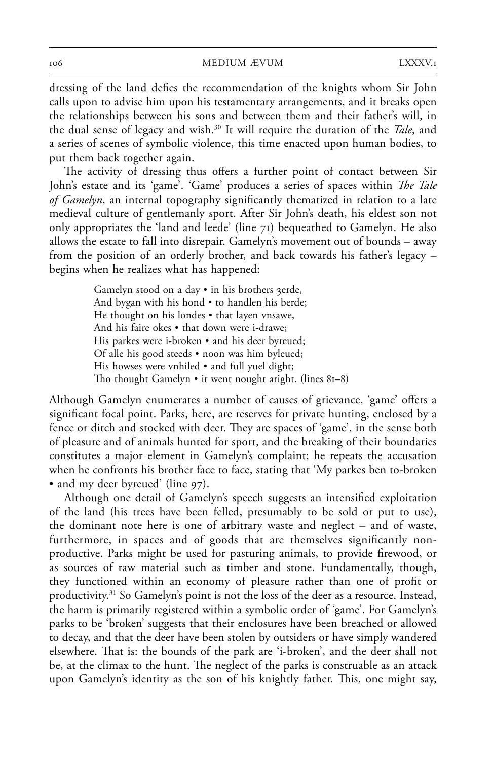dressing of the land defies the recommendation of the knights whom Sir John calls upon to advise him upon his testamentary arrangements, and it breaks open the relationships between his sons and between them and their father's will, in the dual sense of legacy and wish.30 It will require the duration of the *Tale*, and a series of scenes of symbolic violence, this time enacted upon human bodies, to put them back together again.

The activity of dressing thus offers a further point of contact between Sir John's estate and its 'game'. 'Game' produces a series of spaces within *The Tale of Gamelyn*, an internal topography significantly thematized in relation to a late medieval culture of gentlemanly sport. After Sir John's death, his eldest son not only appropriates the 'land and leede' (line 71) bequeathed to Gamelyn. He also allows the estate to fall into disrepair. Gamelyn's movement out of bounds – away from the position of an orderly brother, and back towards his father's legacy – begins when he realizes what has happened:

> Gamelyn stood on a day • in his brothers 3erde, And bygan with his hond • to handlen his berde; He thought on his londes • that layen vnsawe, And his faire okes • that down were i-drawe; His parkes were i-broken • and his deer byreued; Of alle his good steeds • noon was him byleued; His howses were vnhiled • and full yuel dight; Tho thought Gamelyn • it went nought aright. (lines 81–8)

Although Gamelyn enumerates a number of causes of grievance, 'game' offers a significant focal point. Parks, here, are reserves for private hunting, enclosed by a fence or ditch and stocked with deer. They are spaces of 'game', in the sense both of pleasure and of animals hunted for sport, and the breaking of their boundaries constitutes a major element in Gamelyn's complaint; he repeats the accusation when he confronts his brother face to face, stating that 'My parkes ben to-broken • and my deer byreued' (line 97).

Although one detail of Gamelyn's speech suggests an intensified exploitation of the land (his trees have been felled, presumably to be sold or put to use), the dominant note here is one of arbitrary waste and neglect – and of waste, furthermore, in spaces and of goods that are themselves significantly nonproductive. Parks might be used for pasturing animals, to provide firewood, or as sources of raw material such as timber and stone. Fundamentally, though, they functioned within an economy of pleasure rather than one of profit or productivity. 31 So Gamelyn's point is not the loss of the deer as a resource. Instead, the harm is primarily registered within a symbolic order of 'game'. For Gamelyn's parks to be 'broken' suggests that their enclosures have been breached or allowed to decay, and that the deer have been stolen by outsiders or have simply wandered elsewhere. That is: the bounds of the park are 'i-broken', and the deer shall not be, at the climax to the hunt. The neglect of the parks is construable as an attack upon Gamelyn's identity as the son of his knightly father. This, one might say,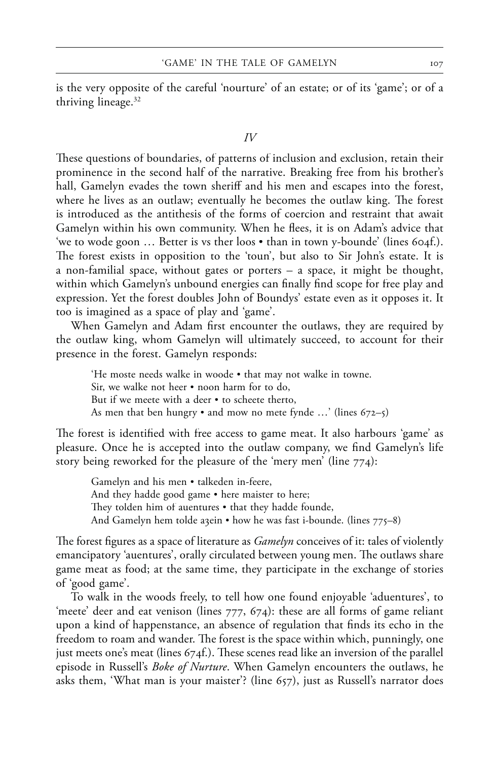is the very opposite of the careful 'nourture' of an estate; or of its 'game'; or of a thriving lineage.<sup>32</sup>

#### *IV*

These questions of boundaries, of patterns of inclusion and exclusion, retain their prominence in the second half of the narrative. Breaking free from his brother's hall, Gamelyn evades the town sheriff and his men and escapes into the forest, where he lives as an outlaw; eventually he becomes the outlaw king. The forest is introduced as the antithesis of the forms of coercion and restraint that await Gamelyn within his own community. When he flees, it is on Adam's advice that 'we to wode goon … Better is vs ther loos • than in town y-bounde' (lines 604f.). The forest exists in opposition to the 'toun', but also to Sir John's estate. It is a non-familial space, without gates or porters – a space, it might be thought, within which Gamelyn's unbound energies can finally find scope for free play and expression. Yet the forest doubles John of Boundys' estate even as it opposes it. It too is imagined as a space of play and 'game'.

When Gamelyn and Adam first encounter the outlaws, they are required by the outlaw king, whom Gamelyn will ultimately succeed, to account for their presence in the forest. Gamelyn responds:

'He moste needs walke in woode • that may not walke in towne. Sir, we walke not heer • noon harm for to do, But if we meete with a deer • to scheete therto, As men that ben hungry  $\bullet$  and mow no mete fynde ...' (lines 672–5)

The forest is identified with free access to game meat. It also harbours 'game' as pleasure. Once he is accepted into the outlaw company, we find Gamelyn's life story being reworked for the pleasure of the 'mery men' (line 774):

Gamelyn and his men • talkeden in-feere, And they hadde good game • here maister to here; They tolden him of auentures  $\bullet$  that they hadde founde, And Gamelyn hem tolde a3ein • how he was fast i-bounde. (lines 775–8)

The forest figures as a space of literature as *Gamelyn* conceives of it: tales of violently emancipatory 'auentures', orally circulated between young men. The outlaws share game meat as food; at the same time, they participate in the exchange of stories of 'good game'.

To walk in the woods freely, to tell how one found enjoyable 'aduentures', to 'meete' deer and eat venison (lines 777, 674): these are all forms of game reliant upon a kind of happenstance, an absence of regulation that finds its echo in the freedom to roam and wander. The forest is the space within which, punningly, one just meets one's meat (lines  $674f$ .). These scenes read like an inversion of the parallel episode in Russell's *Boke of Nurture*. When Gamelyn encounters the outlaws, he asks them, 'What man is your maister'? (line 657), just as Russell's narrator does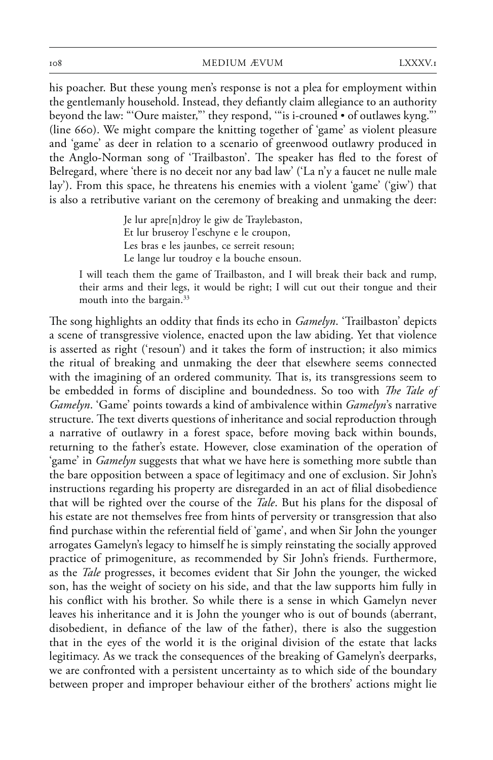his poacher. But these young men's response is not a plea for employment within the gentlemanly household. Instead, they defiantly claim allegiance to an authority beyond the law: "'Oure maister,"' they respond, '"is i-crouned • of outlawes kyng."' (line 660). We might compare the knitting together of 'game' as violent pleasure and 'game' as deer in relation to a scenario of greenwood outlawry produced in the Anglo-Norman song of 'Trailbaston'. The speaker has fled to the forest of Belregard, where 'there is no deceit nor any bad law' ('La n'y a faucet ne nulle male lay'). From this space, he threatens his enemies with a violent 'game' ('giw') that is also a retributive variant on the ceremony of breaking and unmaking the deer:

> Je lur apre[n]droy le giw de Traylebaston, Et lur bruseroy l'eschyne e le croupon, Les bras e les jaunbes, ce serreit resoun; Le lange lur toudroy e la bouche ensoun.

I will teach them the game of Trailbaston, and I will break their back and rump, their arms and their legs, it would be right; I will cut out their tongue and their mouth into the bargain.33

The song highlights an oddity that finds its echo in *Gamelyn*. 'Trailbaston' depicts a scene of transgressive violence, enacted upon the law abiding. Yet that violence is asserted as right ('resoun') and it takes the form of instruction; it also mimics the ritual of breaking and unmaking the deer that elsewhere seems connected with the imagining of an ordered community. That is, its transgressions seem to be embedded in forms of discipline and boundedness. So too with *The Tale of Gamelyn*. 'Game' points towards a kind of ambivalence within *Gamelyn*'s narrative structure. The text diverts questions of inheritance and social reproduction through a narrative of outlawry in a forest space, before moving back within bounds, returning to the father's estate. However, close examination of the operation of 'game' in *Gamelyn* suggests that what we have here is something more subtle than the bare opposition between a space of legitimacy and one of exclusion. Sir John's instructions regarding his property are disregarded in an act of filial disobedience that will be righted over the course of the *Tale*. But his plans for the disposal of his estate are not themselves free from hints of perversity or transgression that also find purchase within the referential field of 'game', and when Sir John the younger arrogates Gamelyn's legacy to himself he is simply reinstating the socially approved practice of primogeniture, as recommended by Sir John's friends. Furthermore, as the *Tale* progresses, it becomes evident that Sir John the younger, the wicked son, has the weight of society on his side, and that the law supports him fully in his conflict with his brother. So while there is a sense in which Gamelyn never leaves his inheritance and it is John the younger who is out of bounds (aberrant, disobedient, in defiance of the law of the father), there is also the suggestion that in the eyes of the world it is the original division of the estate that lacks legitimacy. As we track the consequences of the breaking of Gamelyn's deerparks, we are confronted with a persistent uncertainty as to which side of the boundary between proper and improper behaviour either of the brothers' actions might lie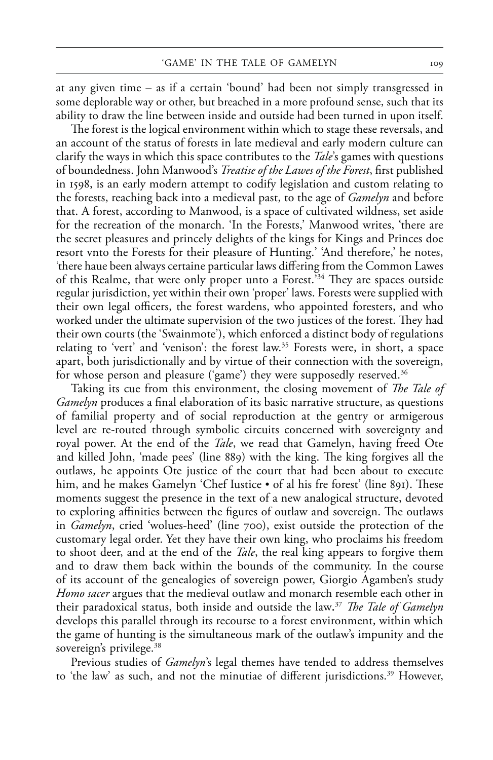at any given time – as if a certain 'bound' had been not simply transgressed in some deplorable way or other, but breached in a more profound sense, such that its ability to draw the line between inside and outside had been turned in upon itself.

The forest is the logical environment within which to stage these reversals, and an account of the status of forests in late medieval and early modern culture can clarify the ways in which this space contributes to the *Tale*'s games with questions of boundedness. John Manwood's *Treatise of the Lawes of the Forest*, first published in 1598, is an early modern attempt to codify legislation and custom relating to the forests, reaching back into a medieval past, to the age of *Gamelyn* and before that. A forest, according to Manwood, is a space of cultivated wildness, set aside for the recreation of the monarch. 'In the Forests,' Manwood writes, 'there are the secret pleasures and princely delights of the kings for Kings and Princes doe resort vnto the Forests for their pleasure of Hunting.' 'And therefore,' he notes, 'there haue been always certaine particular laws differing from the Common Lawes of this Realme, that were only proper unto a Forest.'<sup>34</sup> They are spaces outside regular jurisdiction, yet within their own 'proper' laws. Forests were supplied with their own legal officers, the forest wardens, who appointed foresters, and who worked under the ultimate supervision of the two justices of the forest. They had their own courts (the 'Swainmote'), which enforced a distinct body of regulations relating to 'vert' and 'venison': the forest law.35 Forests were, in short, a space apart, both jurisdictionally and by virtue of their connection with the sovereign, for whose person and pleasure ('game') they were supposedly reserved. 36

Taking its cue from this environment, the closing movement of *The Tale of Gamelyn* produces a final elaboration of its basic narrative structure, as questions of familial property and of social reproduction at the gentry or armigerous level are re-routed through symbolic circuits concerned with sovereignty and royal power. At the end of the *Tale*, we read that Gamelyn, having freed Ote and killed John, 'made pees' (line 889) with the king. The king forgives all the outlaws, he appoints Ote justice of the court that had been about to execute him, and he makes Gamelyn 'Chef Iustice • of al his fre forest' (line 891). These moments suggest the presence in the text of a new analogical structure, devoted to exploring affinities between the figures of outlaw and sovereign. The outlaws in *Gamelyn*, cried 'wolues-heed' (line 700), exist outside the protection of the customary legal order. Yet they have their own king, who proclaims his freedom to shoot deer, and at the end of the *Tale*, the real king appears to forgive them and to draw them back within the bounds of the community. In the course of its account of the genealogies of sovereign power, Giorgio Agamben's study *Homo sacer* argues that the medieval outlaw and monarch resemble each other in their paradoxical status, both inside and outside the law.<sup>37</sup> The Tale of Gamelyn develops this parallel through its recourse to a forest environment, within which the game of hunting is the simultaneous mark of the outlaw's impunity and the sovereign's privilege.<sup>38</sup>

Previous studies of *Gamelyn*'s legal themes have tended to address themselves to 'the law' as such, and not the minutiae of different jurisdictions.<sup>39</sup> However,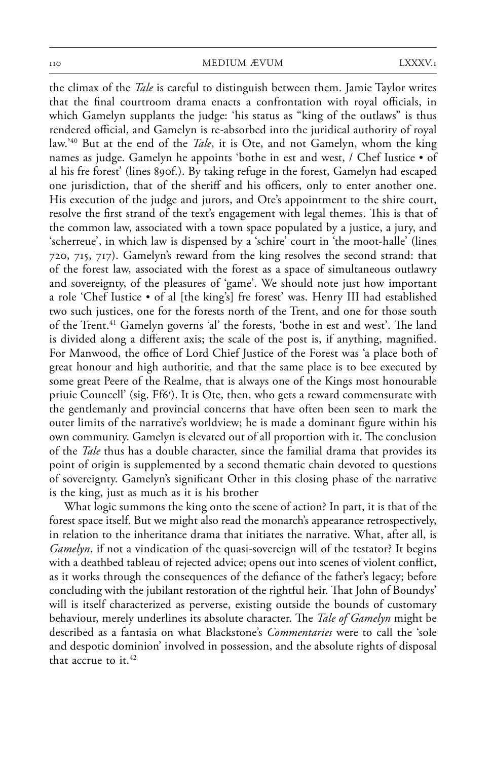the climax of the *Tale* is careful to distinguish between them. Jamie Taylor writes that the final courtroom drama enacts a confrontation with royal officials, in which Gamelyn supplants the judge: 'his status as "king of the outlaws" is thus rendered official, and Gamelyn is re-absorbed into the juridical authority of royal law.' 40 But at the end of the *Tale*, it is Ote, and not Gamelyn, whom the king names as judge. Gamelyn he appoints 'bothe in est and west, / Chef Iustice • of al his fre forest' (lines 890f.). By taking refuge in the forest, Gamelyn had escaped one jurisdiction, that of the sheriff and his officers, only to enter another one. His execution of the judge and jurors, and Ote's appointment to the shire court, resolve the first strand of the text's engagement with legal themes. This is that of the common law, associated with a town space populated by a justice, a jury, and 'scherreue', in which law is dispensed by a 'schire' court in 'the moot-halle' (lines 720, 715, 717). Gamelyn's reward from the king resolves the second strand: that of the forest law, associated with the forest as a space of simultaneous outlawry and sovereignty, of the pleasures of 'game'. We should note just how important a role 'Chef Iustice • of al [the king's] fre forest' was. Henry III had established two such justices, one for the forests north of the Trent, and one for those south of the Trent.<sup>41</sup> Gamelyn governs 'al' the forests, 'bothe in est and west'. The land is divided along a different axis; the scale of the post is, if anything, magnified. For Manwood, the office of Lord Chief Justice of the Forest was 'a place both of great honour and high authoritie, and that the same place is to bee executed by some great Peere of the Realme, that is always one of the Kings most honourable priuie Councell' (sig. Ff6r ). It is Ote, then, who gets a reward commensurate with the gentlemanly and provincial concerns that have often been seen to mark the outer limits of the narrative's worldview; he is made a dominant figure within his own community. Gamelyn is elevated out of all proportion with it. The conclusion of the *Tale* thus has a double character, since the familial drama that provides its point of origin is supplemented by a second thematic chain devoted to questions of sovereignty. Gamelyn's significant Other in this closing phase of the narrative is the king, just as much as it is his brother

What logic summons the king onto the scene of action? In part, it is that of the forest space itself. But we might also read the monarch's appearance retrospectively, in relation to the inheritance drama that initiates the narrative. What, after all, is *Gamelyn*, if not a vindication of the quasi-sovereign will of the testator? It begins with a deathbed tableau of rejected advice; opens out into scenes of violent conflict, as it works through the consequences of the defiance of the father's legacy; before concluding with the jubilant restoration of the rightful heir. That John of Boundys' will is itself characterized as perverse, existing outside the bounds of customary behaviour, merely underlines its absolute character. The *Tale of Gamelyn* might be described as a fantasia on what Blackstone's *Commentaries* were to call the 'sole and despotic dominion' involved in possession, and the absolute rights of disposal that accrue to it. 42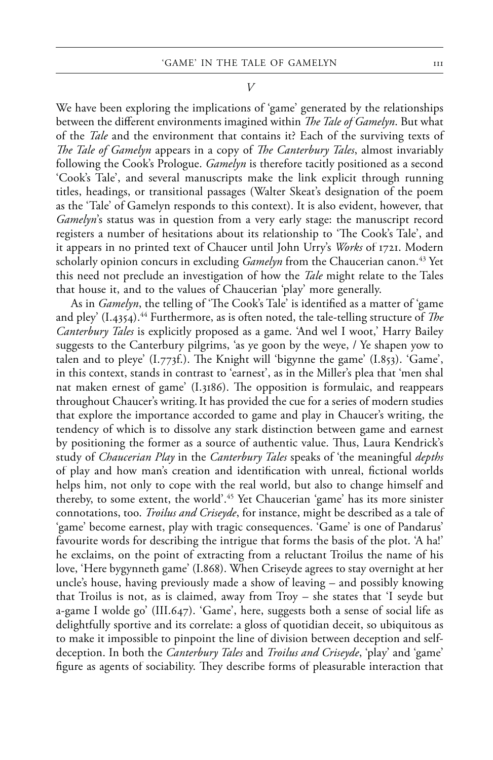*V*

We have been exploring the implications of 'game' generated by the relationships between the different environments imagined within *The Tale of Gamelyn*. But what of the *Tale* and the environment that contains it? Each of the surviving texts of *The Tale of Gamelyn* appears in a copy of *The Canterbury Tales*, almost invariably following the Cook's Prologue. *Gamelyn* is therefore tacitly positioned as a second 'Cook's Tale', and several manuscripts make the link explicit through running titles, headings, or transitional passages (Walter Skeat's designation of the poem as the 'Tale' of Gamelyn responds to this context). It is also evident, however, that *Gamelyn*'s status was in question from a very early stage: the manuscript record registers a number of hesitations about its relationship to 'The Cook's Tale', and it appears in no printed text of Chaucer until John Urry's *Works* of 1721. Modern scholarly opinion concurs in excluding *Gamelyn* from the Chaucerian canon.<sup>43</sup> Yet this need not preclude an investigation of how the *Tale* might relate to the Tales that house it, and to the values of Chaucerian 'play' more generally.

As in *Gamelyn*, the telling of 'The Cook's Tale' is identified as a matter of 'game and pley' (I.4354).<sup>44</sup> Furthermore, as is often noted, the tale-telling structure of *The Canterbury Tales* is explicitly proposed as a game. 'And wel I woot,' Harry Bailey suggests to the Canterbury pilgrims, 'as ye goon by the weye, / Ye shapen yow to talen and to pleye'  $(I.773f.)$ . The Knight will 'bigynne the game'  $(I.853)$ . 'Game', in this context, stands in contrast to 'earnest', as in the Miller's plea that 'men shal nat maken ernest of game' (I.3186). The opposition is formulaic, and reappears throughout Chaucer's writing.It has provided the cue for a series of modern studies that explore the importance accorded to game and play in Chaucer's writing, the tendency of which is to dissolve any stark distinction between game and earnest by positioning the former as a source of authentic value. Thus, Laura Kendrick's study of *Chaucerian Play* in the *Canterbury Tales* speaks of 'the meaningful *depths* of play and how man's creation and identification with unreal, fictional worlds helps him, not only to cope with the real world, but also to change himself and thereby, to some extent, the world'.45 Yet Chaucerian 'game' has its more sinister connotations, too. *Troilus and Criseyde*, for instance, might be described as a tale of 'game' become earnest, play with tragic consequences. 'Game' is one of Pandarus' favourite words for describing the intrigue that forms the basis of the plot. 'A ha!' he exclaims, on the point of extracting from a reluctant Troilus the name of his love, 'Here bygynneth game' (I.868). When Criseyde agrees to stay overnight at her uncle's house, having previously made a show of leaving – and possibly knowing that Troilus is not, as is claimed, away from Troy – she states that 'I seyde but a-game I wolde go' (III.647). 'Game', here, suggests both a sense of social life as delightfully sportive and its correlate: a gloss of quotidian deceit, so ubiquitous as to make it impossible to pinpoint the line of division between deception and selfdeception. In both the *Canterbury Tales* and *Troilus and Criseyde*, 'play' and 'game' figure as agents of sociability. They describe forms of pleasurable interaction that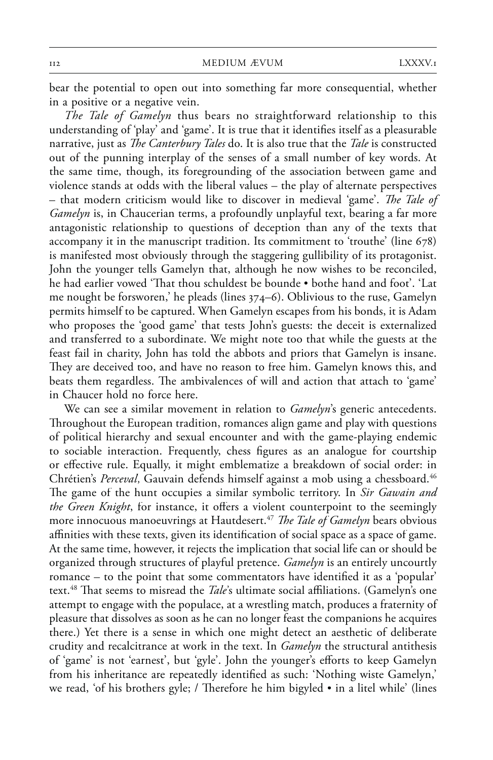bear the potential to open out into something far more consequential, whether in a positive or a negative vein.

*The Tale of Gamelyn* thus bears no straightforward relationship to this understanding of 'play' and 'game'. It is true that it identifies itself as a pleasurable narrative, just as *The Canterbury Tales* do. It is also true that the *Tale* is constructed out of the punning interplay of the senses of a small number of key words. At the same time, though, its foregrounding of the association between game and violence stands at odds with the liberal values – the play of alternate perspectives – that modern criticism would like to discover in medieval 'game'. *The Tale of Gamelyn* is, in Chaucerian terms, a profoundly unplayful text, bearing a far more antagonistic relationship to questions of deception than any of the texts that accompany it in the manuscript tradition. Its commitment to 'trouthe' (line 678) is manifested most obviously through the staggering gullibility of its protagonist. John the younger tells Gamelyn that, although he now wishes to be reconciled, he had earlier vowed 'That thou schuldest be bounde • bothe hand and foot'. 'Lat me nought be forsworen,' he pleads (lines 374–6). Oblivious to the ruse, Gamelyn permits himself to be captured. When Gamelyn escapes from his bonds, it is Adam who proposes the 'good game' that tests John's guests: the deceit is externalized and transferred to a subordinate. We might note too that while the guests at the feast fail in charity, John has told the abbots and priors that Gamelyn is insane. They are deceived too, and have no reason to free him. Gamelyn knows this, and beats them regardless. The ambivalences of will and action that attach to 'game' in Chaucer hold no force here.

We can see a similar movement in relation to *Gamelyn*'s generic antecedents. Throughout the European tradition, romances align game and play with questions of political hierarchy and sexual encounter and with the game-playing endemic to sociable interaction. Frequently, chess figures as an analogue for courtship or effective rule. Equally, it might emblematize a breakdown of social order: in Chrétien's Perceval, Gauvain defends himself against a mob using a chessboard.<sup>46</sup> The game of the hunt occupies a similar symbolic territory. In *Sir Gawain and the Green Knight*, for instance, it offers a violent counterpoint to the seemingly more innocuous manoeuvrings at Hautdesert.<sup>47</sup> *The Tale of Gamelyn* bears obvious affinities with these texts, given its identification of social space as a space of game. At the same time, however, it rejects the implication that social life can or should be organized through structures of playful pretence. *Gamelyn* is an entirely uncourtly romance – to the point that some commentators have identified it as a 'popular' text.<sup>48</sup> That seems to misread the *Tale's* ultimate social affiliations. (Gamelyn's one attempt to engage with the populace, at a wrestling match, produces a fraternity of pleasure that dissolves as soon as he can no longer feast the companions he acquires there.) Yet there is a sense in which one might detect an aesthetic of deliberate crudity and recalcitrance at work in the text. In *Gamelyn* the structural antithesis of 'game' is not 'earnest', but 'gyle'. John the younger's efforts to keep Gamelyn from his inheritance are repeatedly identified as such: 'Nothing wiste Gamelyn,' we read, 'of his brothers gyle; / Therefore he him bigyled  $\bullet$  in a litel while' (lines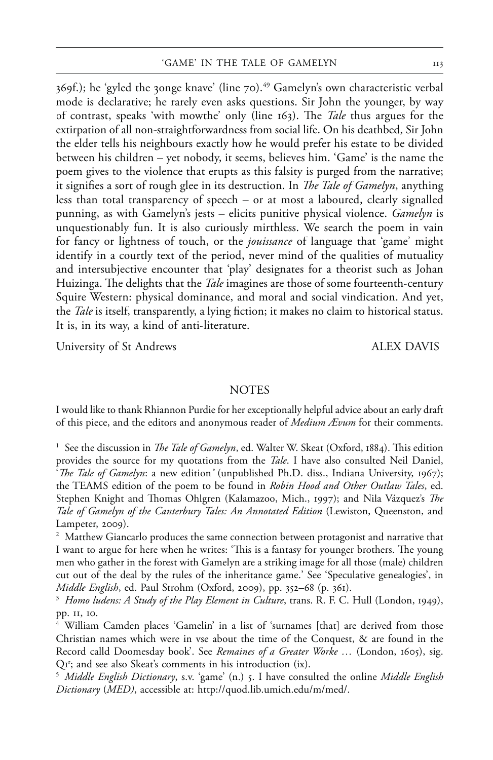369f.); he 'gyled the 30nge knave' (line 70). $^{49}$  Gamelyn's own characteristic verbal mode is declarative; he rarely even asks questions. Sir John the younger, by way of contrast, speaks 'with mowthe' only (line 163). The *Tale* thus argues for the extirpation of all non-straightforwardness from social life. On his deathbed, Sir John the elder tells his neighbours exactly how he would prefer his estate to be divided between his children – yet nobody, it seems, believes him. 'Game' is the name the poem gives to the violence that erupts as this falsity is purged from the narrative; it signifies a sort of rough glee in its destruction. In *The Tale of Gamelyn*, anything less than total transparency of speech – or at most a laboured, clearly signalled punning, as with Gamelyn's jests – elicits punitive physical violence. *Gamelyn* is unquestionably fun. It is also curiously mirthless. We search the poem in vain for fancy or lightness of touch, or the *jouissance* of language that 'game' might identify in a courtly text of the period, never mind of the qualities of mutuality and intersubjective encounter that 'play' designates for a theorist such as Johan Huizinga. The delights that the *Tale* imagines are those of some fourteenth-century Squire Western: physical dominance, and moral and social vindication. And yet, the *Tale* is itself, transparently, a lying fiction; it makes no claim to historical status. It is, in its way, a kind of anti-literature.

University of St Andrews ALEX DAVIS

## **NOTES**

I would like to thank Rhiannon Purdie for her exceptionally helpful advice about an early draft of this piece, and the editors and anonymous reader of *Medium Ævum* for their comments.

<sup>1</sup> See the discussion in *The Tale of Gamelyn*, ed. Walter W. Skeat (Oxford, 1884). This edition provides the source for my quotations from the *Tale*. I have also consulted Neil Daniel, *'The Tale of Gamelyn*: a new edition' (unpublished Ph.D. diss., Indiana University, 1967); the TEAMS edition of the poem to be found in *Robin Hood and Other Outlaw Tales*, ed. Stephen Knight and Thomas Ohlgren (Kalamazoo, Mich., 1997); and Nila Vázquez's *The Tale of Gamelyn of the Canterbury Tales: An Annotated Edition* (Lewiston, Queenston, and Lampeter, 2009).

<sup>2</sup> Matthew Giancarlo produces the same connection between protagonist and narrative that I want to argue for here when he writes: 'This is a fantasy for younger brothers. The young men who gather in the forest with Gamelyn are a striking image for all those (male) children cut out of the deal by the rules of the inheritance game.' See 'Speculative genealogies', in *Middle English*, ed. Paul Strohm (Oxford, 2009), pp. 352–68 (p. 361).<br><sup>3</sup> *Homo ludens: A Study of the Play Element in Culture*, trans. R. F. C. Hull (London, 1949),

pp. 11, 10.<br><sup>4</sup> William Camden places 'Gamelin' in a list of 'surnames [that] are derived from those

Christian names which were in vse about the time of the Conquest, & are found in the Record calld Doomesday book'. See *Remaines of a Greater Worke …* (London, 1605), sig. Q1r ; and see also Skeat's comments in his introduction (ix).

<sup>5</sup> *Middle English Dictionary*, s.v. 'game' (n.) 5. I have consulted the online *Middle English Dictionary* (*MED*), accessible at: http://quod.lib.umich.edu/m/med/.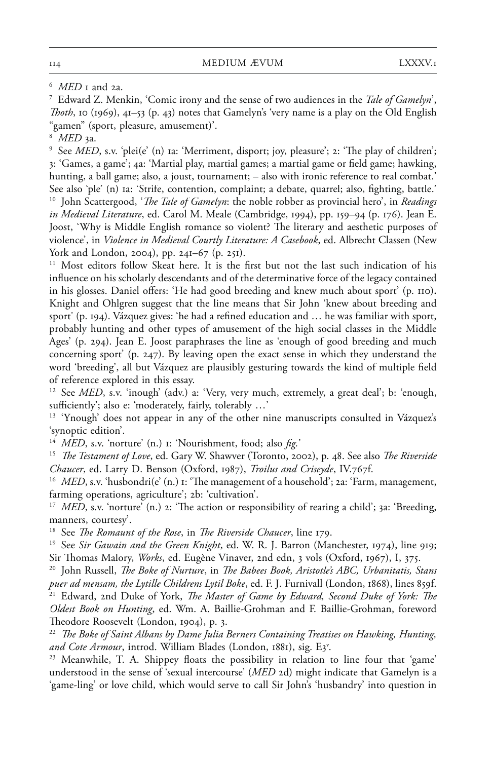7 Edward Z. Menkin, 'Comic irony and the sense of two audiences in the *Tale of Gamelyn*', *Th oth*, 10 (1969), 41–53 (p. 43) notes that Gamelyn's 'very name is a play on the Old English "gamen" (sport, pleasure, amusement)'.

<sup>8</sup> *MED* 3a.

<sup>9</sup> See *MED*, s.v. 'plei(e' (n) 1a: 'Merriment, disport; joy, pleasure'; 2: 'The play of children'; 3: 'Games, a game'; 4a: 'Martial play, martial games; a martial game or field game; hawking, hunting, a ball game; also, a joust, tournament; – also with ironic reference to real combat.' See also 'ple' (n) 1a: 'Strife, contention, complaint; a debate, quarrel; also, fighting, battle.' <sup>10</sup> John Scattergood, '*The Tale of Gamelyn*: the noble robber as provincial hero', in *Readings in Medieval Literature*, ed. Carol M. Meale (Cambridge, 1994), pp. 159–94 (p. 176). Jean E. Joost, 'Why is Middle English romance so violent? The literary and aesthetic purposes of violence', in *Violence in Medieval Courtly Literature: A Casebook*, ed. Albrecht Classen (New

<sup>11</sup> Most editors follow Skeat here. It is the first but not the last such indication of his influence on his scholarly descendants and of the determinative force of the legacy contained in his glosses. Daniel offers: 'He had good breeding and knew much about sport' (p. 110). Knight and Ohlgren suggest that the line means that Sir John 'knew about breeding and sport' (p. 194). Vázquez gives: 'he had a refined education and … he was familiar with sport, probably hunting and other types of amusement of the high social classes in the Middle Ages' (p. 294). Jean E. Joost paraphrases the line as 'enough of good breeding and much concerning sport' (p. 247). By leaving open the exact sense in which they understand the word 'breeding', all but Vázquez are plausibly gesturing towards the kind of multiple field of reference explored in this essay.

<sup>12</sup> See *MED*, s.v. 'inough' (adv.) a: 'Very, very much, extremely, a great deal'; b: 'enough, sufficiently'; also e: 'moderately, fairly, tolerably ...'

<sup>13</sup> 'Ynough' does not appear in any of the other nine manuscripts consulted in Vázquez's 'synoptic edition'.

<sup>14</sup> *MED*, s.v. 'norture' (n.) 1: 'Nourishment, food; also *fig.*'

<sup>15</sup> *The Testament of Love*, ed. Gary W. Shawver (Toronto, 2002), p. 48. See also *The Riverside Chaucer*, ed. Larry D. Benson (Oxford, 1987), *Troilus and Criseyde*, IV.767f.

<sup>16</sup> *MED*, s.v. 'husbondri(e' (n.) 1: 'The management of a household'; 2a: 'Farm, management, farming operations, agriculture'; 2b: 'cultivation'.

<sup>17</sup> *MED*, s.v. 'norture' (n.) 2: 'The action or responsibility of rearing a child'; 3a: 'Breeding, manners, courtesy'.

<sup>18</sup> See *The Romaunt of the Rose*, in *The Riverside Chaucer*, line 179.

<sup>19</sup> See *Sir Gawain and the Green Knight*, ed. W. R. J. Barron (Manchester, 1974), line 919; Sir Thomas Malory, *Works*, ed. Eugène Vinaver, 2nd edn, 3 vols (Oxford, 1967), I, 375.

<sup>20</sup> John Russell, *The Boke of Nurture*, in *The Babees Book, Aristotle's ABC, Urbanitatis, Stans puer ad mensam, the Lytille Childrens Lytil Boke*, ed. F. J. Furnivall (London, 1868), lines 859f.<br><sup>21</sup> Edward, 2nd Duke of York, *The Master of Game by Edward, Second Duke of York: The Oldest Book on Hunting*, ed. Wm. A. Baillie-Grohman and F. Baillie-Grohman, foreword Theodore Roosevelt (London, 1904), p. 3.

<sup>22</sup> The Boke of Saint Albans by Dame Julia Berners Containing Treatises on Hawking, Hunting, and Cote Armour, introd. William Blades (London, 1881), sig. E3<sup>v</sup>.

<sup>23</sup> Meanwhile, T. A. Shippey floats the possibility in relation to line four that 'game' understood in the sense of 'sexual intercourse' (*MED* 2d) might indicate that Gamelyn is a 'game-ling' or love child, which would serve to call Sir John's 'husbandry' into question in

<sup>6</sup> *MED* 1 and 2a.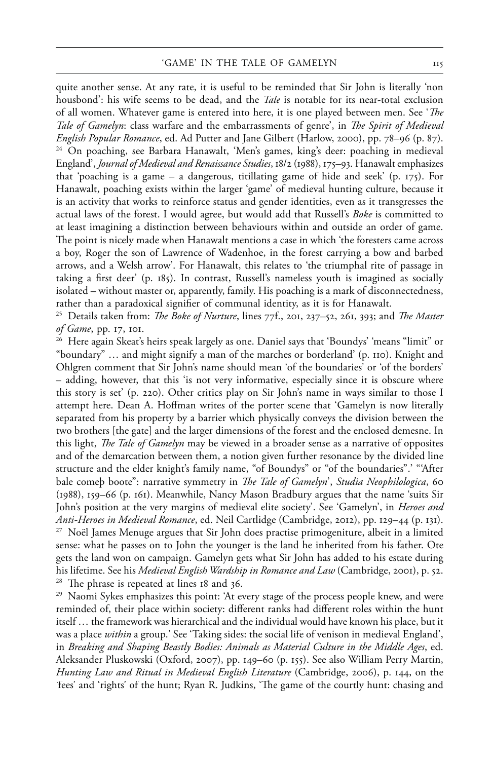quite another sense. At any rate, it is useful to be reminded that Sir John is literally 'non housbond': his wife seems to be dead, and the *Tale* is notable for its near-total exclusion of all women. Whatever game is entered into here, it is one played between men. See '*The Tale of Gamelyn*: class warfare and the embarrassments of genre', in *The Spirit of Medieval English Popular Romance*, ed. Ad Putter and Jane Gilbert (Harlow, 2000), pp. 78–96 (p. 87). 24 On poaching, see Barbara Hanawalt, 'Men's games, king's deer: poaching in medieval England', *Journal of Medieval and Renaissance Studies*, 18/2 (1988), 175–93. Hanawalt emphasizes that 'poaching is a game – a dangerous, titillating game of hide and seek' (p.  $175$ ). For Hanawalt, poaching exists within the larger 'game' of medieval hunting culture, because it is an activity that works to reinforce status and gender identities, even as it transgresses the actual laws of the forest. I would agree, but would add that Russell's *Boke* is committed to at least imagining a distinction between behaviours within and outside an order of game. The point is nicely made when Hanawalt mentions a case in which 'the foresters came across a boy, Roger the son of Lawrence of Wadenhoe, in the forest carrying a bow and barbed arrows, and a Welsh arrow'. For Hanawalt, this relates to 'the triumphal rite of passage in taking a first deer' (p. 185). In contrast, Russell's nameless youth is imagined as socially isolated – without master or, apparently, family. His poaching is a mark of disconnectedness, rather than a paradoxical signifier of communal identity, as it is for Hanawalt.

<sup>25</sup> Details taken from: *The Boke of Nurture*, lines 77f., 201, 237–52, 261, 393; and *The Master of Game*, pp. 17, 101.

26 Here again Skeat's heirs speak largely as one. Daniel says that 'Boundys' 'means "limit" or "boundary" … and might signify a man of the marches or borderland' (p. 110). Knight and Ohlgren comment that Sir John's name should mean 'of the boundaries' or 'of the borders' – adding, however, that this 'is not very informative, especially since it is obscure where this story is set' (p. 220). Other critics play on Sir John's name in ways similar to those I attempt here. Dean A. Hoffman writes of the porter scene that 'Gamelyn is now literally separated from his property by a barrier which physically conveys the division between the two brothers [the gate] and the larger dimensions of the forest and the enclosed demesne. In this light, *The Tale of Gamelyn* may be viewed in a broader sense as a narrative of opposites and of the demarcation between them, a notion given further resonance by the divided line structure and the elder knight's family name, "of Boundys" or "of the boundaries".' "'After bale comep boote": narrative symmetry in *The Tale of Gamelyn*', *Studia Neophilologica*, 60 (1988), 159–66 (p. 161). Meanwhile, Nancy Mason Bradbury argues that the name 'suits Sir John's position at the very margins of medieval elite society'. See 'Gamelyn', in *Heroes and Anti-Heroes in Medieval Romance*, ed. Neil Cartlidge (Cambridge, 2012), pp. 129–44 (p. 131). 27 Noël James Menuge argues that Sir John does practise primogeniture, albeit in a limited sense: what he passes on to John the younger is the land he inherited from his father. Ote gets the land won on campaign. Gamelyn gets what Sir John has added to his estate during his lifetime. See his *Medieval English Wardship in Romance and Law* (Cambridge, 2001), p. 52. 28 The phrase is repeated at lines 18 and 36.

 $^{29}$  Naomi Sykes emphasizes this point: 'At every stage of the process people knew, and were reminded of, their place within society: different ranks had different roles within the hunt itself … the framework was hierarchical and the individual would have known his place, but it was a place *within* a group.' See 'Taking sides: the social life of venison in medieval England', in *Breaking and Shaping Beastly Bodies: Animals as Material Culture in the Middle Ages*, ed. Aleksander Pluskowski (Oxford, 2007), pp. 149–60 (p. 155). See also William Perry Martin, *Hunting Law and Ritual in Medieval English Literature* (Cambridge, 2006), p. 144, on the 'fees' and 'rights' of the hunt; Ryan R. Judkins, 'The game of the courtly hunt: chasing and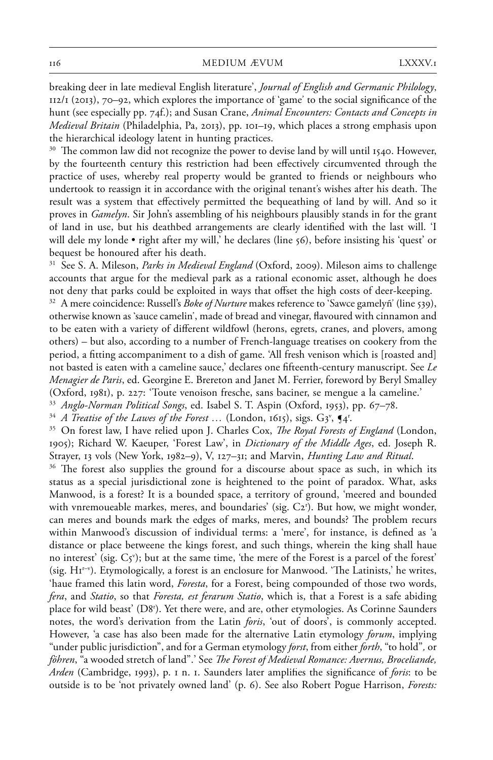breaking deer in late medieval English literature', *Journal of English and Germanic Philology*, 112/1 (2013), 70–92, which explores the importance of 'game' to the social significance of the hunt (see especially pp. 74f.); and Susan Crane, *Animal Encounters: Contacts and Concepts in Medieval Britain* (Philadelphia, Pa, 2013), pp. 101–19, which places a strong emphasis upon the hierarchical ideology latent in hunting practices.

 $30$  The common law did not recognize the power to devise land by will until 1540. However, by the fourteenth century this restriction had been effectively circumvented through the practice of uses, whereby real property would be granted to friends or neighbours who undertook to reassign it in accordance with the original tenant's wishes after his death. The result was a system that effectively permitted the bequeathing of land by will. And so it proves in *Gamelyn*. Sir John's assembling of his neighbours plausibly stands in for the grant of land in use, but his deathbed arrangements are clearly identified with the last will. 'I will dele my londe • right after my will,' he declares (line 56), before insisting his 'quest' or bequest be honoured after his death.

<sup>31</sup> See S. A. Mileson, *Parks in Medieval England* (Oxford, 2009). Mileson aims to challenge accounts that argue for the medieval park as a rational economic asset, although he does not deny that parks could be exploited in ways that offset the high costs of deer-keeping.

32 A mere coincidence: Russell's *Boke of Nurture* makes reference to 'Sawce gamelyñ' (line 539), otherwise known as 'sauce camelin', made of bread and vinegar, flavoured with cinnamon and to be eaten with a variety of different wildfowl (herons, egrets, cranes, and plovers, among others) – but also, according to a number of French-language treatises on cookery from the period, a fitting accompaniment to a dish of game. 'All fresh venison which is [roasted and] not basted is eaten with a cameline sauce,' declares one fi fteenth-century manuscript. See *Le Menagier de Paris*, ed. Georgine E. Brereton and Janet M. Ferrier, foreword by Beryl Smalley (Oxford, 1981), p. 227: 'Toute venoison fresche, sans baciner, se mengue a la cameline.' 33 *Anglo-Norman Political Songs*, ed. Isabel S. T. Aspin (Oxford, 1953), pp. 67–78.

<sup>34</sup> A Treatise of the Lawes of the Forest  $\ldots$  (London, 1615), sigs. G3<sup>v</sup>,  $\P$ 4<sup>r</sup>.

<sup>35</sup> On forest law, I have relied upon J. Charles Cox, *The Royal Forests of England* (London, 1905); Richard W. Kaeuper, 'Forest Law', in *Dictionary of the Middle Ages*, ed. Joseph R. Strayer, 13 vols (New York, 1982–9), V, 127–31; and Marvin, *Hunting Law and Ritual*.

<sup>36</sup> The forest also supplies the ground for a discourse about space as such, in which its status as a special jurisdictional zone is heightened to the point of paradox. What, asks Manwood, is a forest? It is a bounded space, a territory of ground, 'meered and bounded with vnremoueable markes, meres, and boundaries' (sig. C2<sup>r</sup>). But how, we might wonder, can meres and bounds mark the edges of marks, meres, and bounds? The problem recurs within Manwood's discussion of individual terms: a 'mere', for instance, is defined as 'a distance or place betweene the kings forest, and such things, wherein the king shall haue no interest' (sig.  $C_5$ <sup>v</sup>); but at the same time, 'the mere of the Forest is a parcel of the forest' (sig. H1r–v ). Etymologically, a forest is an enclosure for Manwood. 'The Latinists,' he writes, 'haue framed this latin word, *Foresta*, for a Forest, being compounded of those two words, *fera*, and *Statio*, so that *Foresta, est ferarum Statio*, which is, that a Forest is a safe abiding place for wild beast' (D8r ). Yet there were, and are, other etymologies. As Corinne Saunders notes, the word's derivation from the Latin *foris*, 'out of doors', is commonly accepted. However, 'a case has also been made for the alternative Latin etymology *forum*, implying "under public jurisdiction", and for a German etymology *forst*, from either *forth*, "to hold"*,* or *föhren*, "a wooded stretch of land".' See *The Forest of Medieval Romance: Avernus, Broceliande*, *Arden* (Cambridge, 1993), p. 1 n. 1. Saunders later amplifies the significance of *foris*: to be outside is to be 'not privately owned land' (p. 6). See also Robert Pogue Harrison, *Forests:*